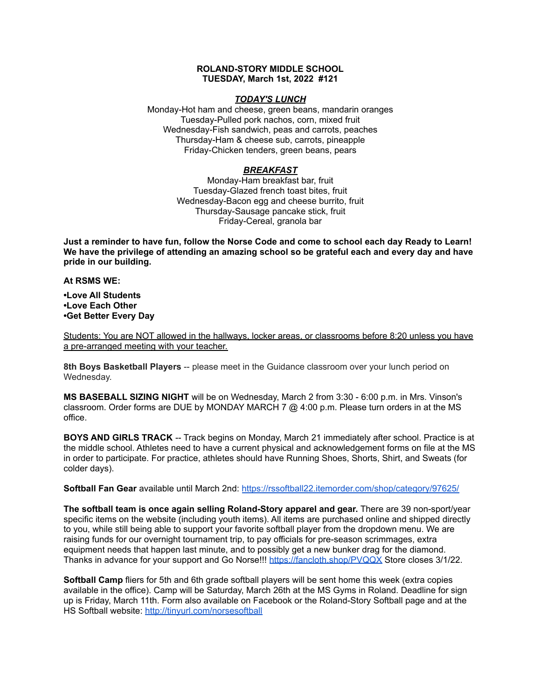### **ROLAND-STORY MIDDLE SCHOOL TUESDAY, March 1st, 2022 #121**

### *TODAY'S LUNCH*

Monday-Hot ham and cheese, green beans, mandarin oranges Tuesday-Pulled pork nachos, corn, mixed fruit Wednesday-Fish sandwich, peas and carrots, peaches Thursday-Ham & cheese sub, carrots, pineapple Friday-Chicken tenders, green beans, pears

## *BREAKFAST*

Monday-Ham breakfast bar, fruit Tuesday-Glazed french toast bites, fruit Wednesday-Bacon egg and cheese burrito, fruit Thursday-Sausage pancake stick, fruit Friday-Cereal, granola bar

Just a reminder to have fun, follow the Norse Code and come to school each day Ready to Learn! **We have the privilege of attending an amazing school so be grateful each and every day and have pride in our building.**

#### **At RSMS WE:**

**•Love All Students •Love Each Other •Get Better Every Day**

Students: You are NOT allowed in the hallways, locker areas, or classrooms before 8:20 unless you have a pre-arranged meeting with your teacher.

**8th Boys Basketball Players** -- please meet in the Guidance classroom over your lunch period on Wednesday.

**MS BASEBALL SIZING NIGHT** will be on Wednesday, March 2 from 3:30 - 6:00 p.m. in Mrs. Vinson's classroom. Order forms are DUE by MONDAY MARCH 7 @ 4:00 p.m. Please turn orders in at the MS office.

**BOYS AND GIRLS TRACK** -- Track begins on Monday, March 21 immediately after school. Practice is at the middle school. Athletes need to have a current physical and acknowledgement forms on file at the MS in order to participate. For practice, athletes should have Running Shoes, Shorts, Shirt, and Sweats (for colder days).

**Softball Fan Gear** available until March 2nd: <https://rssoftball22.itemorder.com/shop/category/97625/>

**The softball team is once again selling Roland-Story apparel and gear.** There are 39 non-sport/year specific items on the website (including youth items). All items are purchased online and shipped directly to you, while still being able to support your favorite softball player from the dropdown menu. We are raising funds for our overnight tournament trip, to pay officials for pre-season scrimmages, extra equipment needs that happen last minute, and to possibly get a new bunker drag for the diamond. Thanks in advance for your support and Go Norse!!! <https://fancloth.shop/PVQQX> Store closes 3/1/22.

**Softball Camp** fliers for 5th and 6th grade softball players will be sent home this week (extra copies available in the office). Camp will be Saturday, March 26th at the MS Gyms in Roland. Deadline for sign up is Friday, March 11th. Form also available on Facebook or the Roland-Story Softball page and at the HS Softball website: <http://tinyurl.com/norsesoftball>